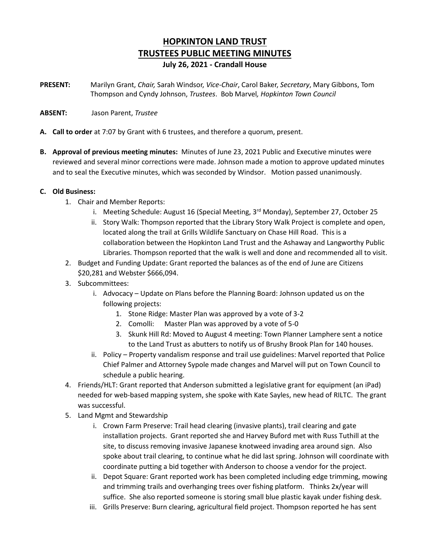# **HOPKINTON LAND TRUST TRUSTEES PUBLIC MEETING MINUTES July 26, 2021 - Crandall House**

**PRESENT:** Marilyn Grant, *Chair,* Sarah Windsor, *Vice-Chair*, Carol Baker, *Secretary*, Mary Gibbons, Tom Thompson and Cyndy Johnson, *Trustees*. Bob Marvel*, Hopkinton Town Council*

### **ABSENT:** Jason Parent, *Trustee*

- **A. Call to order** at 7:07 by Grant with 6 trustees, and therefore a quorum, present.
- **B. Approval of previous meeting minutes:** Minutes of June 23, 2021 Public and Executive minutes were reviewed and several minor corrections were made. Johnson made a motion to approve updated minutes and to seal the Executive minutes, which was seconded by Windsor. Motion passed unanimously.

## **C. Old Business:**

- 1. Chair and Member Reports:
	- i. Meeting Schedule: August 16 (Special Meeting, 3rd Monday), September 27, October 25
	- ii. Story Walk: Thompson reported that the Library Story Walk Project is complete and open, located along the trail at Grills Wildlife Sanctuary on Chase Hill Road. This is a collaboration between the Hopkinton Land Trust and the Ashaway and Langworthy Public Libraries. Thompson reported that the walk is well and done and recommended all to visit.
- 2. Budget and Funding Update: Grant reported the balances as of the end of June are Citizens \$20,281 and Webster \$666,094.
- 3. Subcommittees:
	- i. Advocacy Update on Plans before the Planning Board: Johnson updated us on the following projects:
		- 1. Stone Ridge: Master Plan was approved by a vote of 3-2
		- 2. Comolli: Master Plan was approved by a vote of 5-0
		- 3. Skunk Hill Rd: Moved to August 4 meeting: Town Planner Lamphere sent a notice to the Land Trust as abutters to notify us of Brushy Brook Plan for 140 houses.
	- ii. Policy Property vandalism response and trail use guidelines: Marvel reported that Police Chief Palmer and Attorney Sypole made changes and Marvel will put on Town Council to schedule a public hearing.
- 4. Friends/HLT: Grant reported that Anderson submitted a legislative grant for equipment (an iPad) needed for web-based mapping system, she spoke with Kate Sayles, new head of RILTC. The grant was successful.
- 5. Land Mgmt and Stewardship
	- i. Crown Farm Preserve: Trail head clearing (invasive plants), trail clearing and gate installation projects. Grant reported she and Harvey Buford met with Russ Tuthill at the site, to discuss removing invasive Japanese knotweed invading area around sign. Also spoke about trail clearing, to continue what he did last spring. Johnson will coordinate with coordinate putting a bid together with Anderson to choose a vendor for the project.
	- ii. Depot Square: Grant reported work has been completed including edge trimming, mowing and trimming trails and overhanging trees over fishing platform. Thinks 2x/year will suffice. She also reported someone is storing small blue plastic kayak under fishing desk.
	- iii. Grills Preserve: Burn clearing, agricultural field project. Thompson reported he has sent